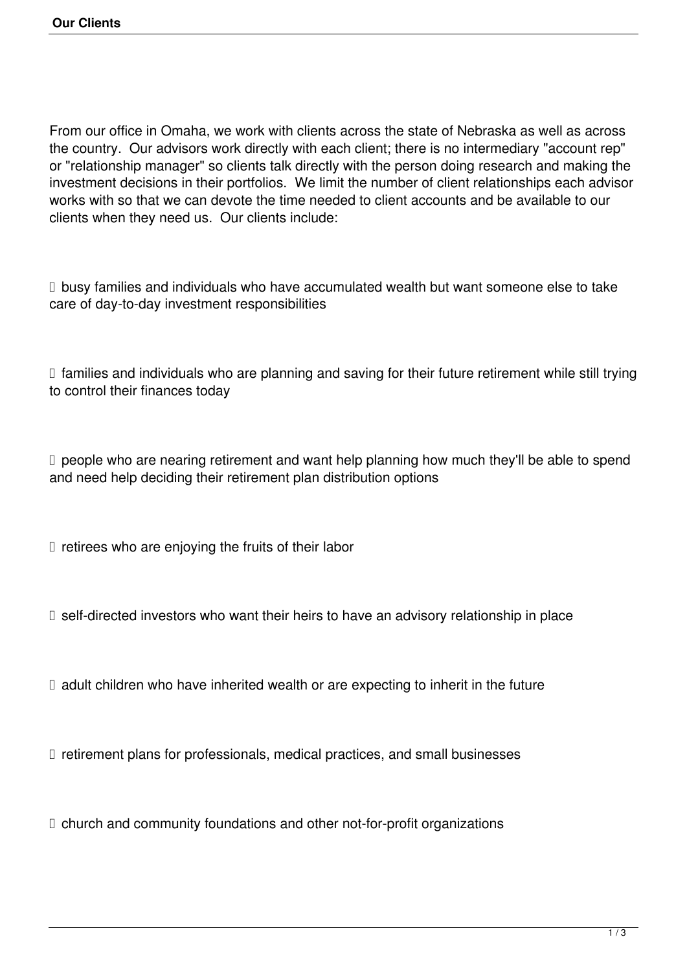From our office in Omaha, we work with clients across the state of Nebraska as well as across the country. Our advisors work directly with each client; there is no intermediary "account rep" or "relationship manager" so clients talk directly with the person doing research and making the investment decisions in their portfolios. We limit the number of client relationships each advisor works with so that we can devote the time needed to client accounts and be available to our clients when they need us. Our clients include:

 $\Box$  busy families and individuals who have accumulated wealth but want someone else to take care of day-to-day investment responsibilities

 $\Box$  families and individuals who are planning and saving for their future retirement while still trying to control their finances today

 $\Box$  people who are nearing retirement and want help planning how much they'll be able to spend and need help deciding their retirement plan distribution options

 $\Box$  retirees who are enjoying the fruits of their labor

 $\Box$  self-directed investors who want their heirs to have an advisory relationship in place

 $\Box$  adult children who have inherited wealth or are expecting to inherit in the future

 $\Box$  retirement plans for professionals, medical practices, and small businesses

 $\Box$  church and community foundations and other not-for-profit organizations